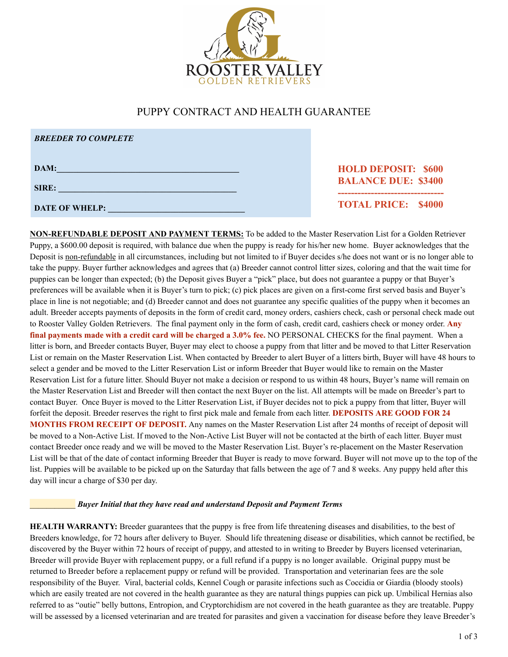

# PUPPY CONTRACT AND HEALTH GUARANTEE

| <b>BREEDER TO COMPLETE</b> |                                                          |
|----------------------------|----------------------------------------------------------|
| DAM:<br>SIRE:              | <b>HOLD DEPOSIT: \$600</b><br><b>BALANCE DUE: \$3400</b> |
| <b>DATE OF WHELP:</b>      | <b>TOTAL PRICE: \$4000</b>                               |

**NON-REFUNDABLE DEPOSIT AND PAYMENT TERMS:** To be added to the Master Reservation List for a Golden Retriever Puppy, a \$600.00 deposit is required, with balance due when the puppy is ready for his/her new home. Buyer acknowledges that the Deposit is non-refundable in all circumstances, including but not limited to if Buyer decides s/he does not want or is no longer able to take the puppy. Buyer further acknowledges and agrees that (a) Breeder cannot control litter sizes, coloring and that the wait time for puppies can be longer than expected; (b) the Deposit gives Buyer a "pick" place, but does not guarantee a puppy or that Buyer's preferences will be available when it is Buyer's turn to pick; (c) pick places are given on a first-come first served basis and Buyer's place in line is not negotiable; and (d) Breeder cannot and does not guarantee any specific qualities of the puppy when it becomes an adult. Breeder accepts payments of deposits in the form of credit card, money orders, cashiers check, cash or personal check made out to Rooster Valley Golden Retrievers. The final payment only in the form of cash, credit card, cashiers check or money order. **Any final payments made with a credit card will be charged a 3.0% fee.** NO PERSONAL CHECKS for the final payment. When a litter is born, and Breeder contacts Buyer, Buyer may elect to choose a puppy from that litter and be moved to that Litter Reservation List or remain on the Master Reservation List. When contacted by Breeder to alert Buyer of a litters birth, Buyer will have 48 hours to select a gender and be moved to the Litter Reservation List or inform Breeder that Buyer would like to remain on the Master Reservation List for a future litter. Should Buyer not make a decision or respond to us within 48 hours, Buyer's name will remain on the Master Reservation List and Breeder will then contact the next Buyer on the list. All attempts will be made on Breeder's part to contact Buyer. Once Buyer is moved to the Litter Reservation List, if Buyer decides not to pick a puppy from that litter, Buyer will forfeit the deposit. Breeder reserves the right to first pick male and female from each litter. **DEPOSITS ARE GOOD FOR 24 MONTHS FROM RECEIPT OF DEPOSIT.** Any names on the Master Reservation List after 24 months of receipt of deposit will be moved to a Non-Active List. If moved to the Non-Active List Buyer will not be contacted at the birth of each litter. Buyer must contact Breeder once ready and we will be moved to the Master Reservation List. Buyer's re-placement on the Master Reservation List will be that of the date of contact informing Breeder that Buyer is ready to move forward. Buyer will not move up to the top of the list. Puppies will be available to be picked up on the Saturday that falls between the age of 7 and 8 weeks. Any puppy held after this day will incur a charge of \$30 per day.

## \_\_\_\_\_\_\_\_\_\_\_ *Buyer Initial that they have read and understand Deposit and Payment Terms*

**HEALTH WARRANTY:** Breeder guarantees that the puppy is free from life threatening diseases and disabilities, to the best of Breeders knowledge, for 72 hours after delivery to Buyer. Should life threatening disease or disabilities, which cannot be rectified, be discovered by the Buyer within 72 hours of receipt of puppy, and attested to in writing to Breeder by Buyers licensed veterinarian, Breeder will provide Buyer with replacement puppy, or a full refund if a puppy is no longer available. Original puppy must be returned to Breeder before a replacement puppy or refund will be provided. Transportation and veterinarian fees are the sole responsibility of the Buyer. Viral, bacterial colds, Kennel Cough or parasite infections such as Coccidia or Giardia (bloody stools) which are easily treated are not covered in the health guarantee as they are natural things puppies can pick up. Umbilical Hernias also referred to as "outie" belly buttons, Entropion, and Cryptorchidism are not covered in the heath guarantee as they are treatable. Puppy will be assessed by a licensed veterinarian and are treated for parasites and given a vaccination for disease before they leave Breeder's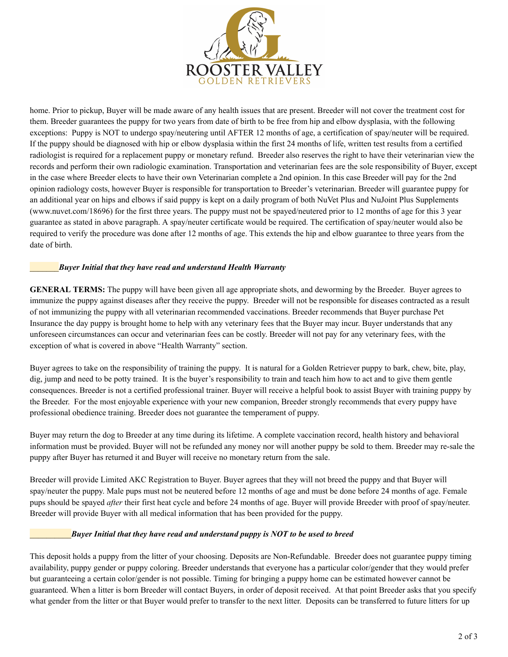

home. Prior to pickup, Buyer will be made aware of any health issues that are present. Breeder will not cover the treatment cost for them. Breeder guarantees the puppy for two years from date of birth to be free from hip and elbow dysplasia, with the following exceptions: Puppy is NOT to undergo spay/neutering until AFTER 12 months of age, a certification of spay/neuter will be required. If the puppy should be diagnosed with hip or elbow dysplasia within the first 24 months of life, written test results from a certified radiologist is required for a replacement puppy or monetary refund. Breeder also reserves the right to have their veterinarian view the records and perform their own radiologic examination. Transportation and veterinarian fees are the sole responsibility of Buyer, except in the case where Breeder elects to have their own Veterinarian complete a 2nd opinion. In this case Breeder will pay for the 2nd opinion radiology costs, however Buyer is responsible for transportation to Breeder's veterinarian. Breeder will guarantee puppy for an additional year on hips and elbows if said puppy is kept on a daily program of both NuVet Plus and NuJoint Plus Supplements (www.nuvet.com/18696) for the first three years. The puppy must not be spayed/neutered prior to 12 months of age for this 3 year guarantee as stated in above paragraph. A spay/neuter certificate would be required. The certification of spay/neuter would also be required to verify the procedure was done after 12 months of age. This extends the hip and elbow guarantee to three years from the date of birth.

### \_\_\_\_\_\_\_*Buyer Initial that they have read and understand Health Warranty*

**GENERAL TERMS:** The puppy will have been given all age appropriate shots, and deworming by the Breeder. Buyer agrees to immunize the puppy against diseases after they receive the puppy. Breeder will not be responsible for diseases contracted as a result of not immunizing the puppy with all veterinarian recommended vaccinations. Breeder recommends that Buyer purchase Pet Insurance the day puppy is brought home to help with any veterinary fees that the Buyer may incur. Buyer understands that any unforeseen circumstances can occur and veterinarian fees can be costly. Breeder will not pay for any veterinary fees, with the exception of what is covered in above "Health Warranty" section.

Buyer agrees to take on the responsibility of training the puppy. It is natural for a Golden Retriever puppy to bark, chew, bite, play, dig, jump and need to be potty trained. It is the buyer's responsibility to train and teach him how to act and to give them gentle consequences. Breeder is not a certified professional trainer. Buyer will receive a helpful book to assist Buyer with training puppy by the Breeder. For the most enjoyable experience with your new companion, Breeder strongly recommends that every puppy have professional obedience training. Breeder does not guarantee the temperament of puppy.

Buyer may return the dog to Breeder at any time during its lifetime. A complete vaccination record, health history and behavioral information must be provided. Buyer will not be refunded any money nor will another puppy be sold to them. Breeder may re-sale the puppy after Buyer has returned it and Buyer will receive no monetary return from the sale.

Breeder will provide Limited AKC Registration to Buyer. Buyer agrees that they will not breed the puppy and that Buyer will spay/neuter the puppy. Male pups must not be neutered before 12 months of age and must be done before 24 months of age. Female pups should be spayed *after* their first heat cycle and before 24 months of age. Buyer will provide Breeder with proof of spay/neuter. Breeder will provide Buyer with all medical information that has been provided for the puppy.

## \_\_\_\_\_\_\_\_\_\_*Buyer Initial that they have read and understand puppy is NOT to be used to breed*

This deposit holds a puppy from the litter of your choosing. Deposits are Non-Refundable. Breeder does not guarantee puppy timing availability, puppy gender or puppy coloring. Breeder understands that everyone has a particular color/gender that they would prefer but guaranteeing a certain color/gender is not possible. Timing for bringing a puppy home can be estimated however cannot be guaranteed. When a litter is born Breeder will contact Buyers, in order of deposit received. At that point Breeder asks that you specify what gender from the litter or that Buyer would prefer to transfer to the next litter. Deposits can be transferred to future litters for up